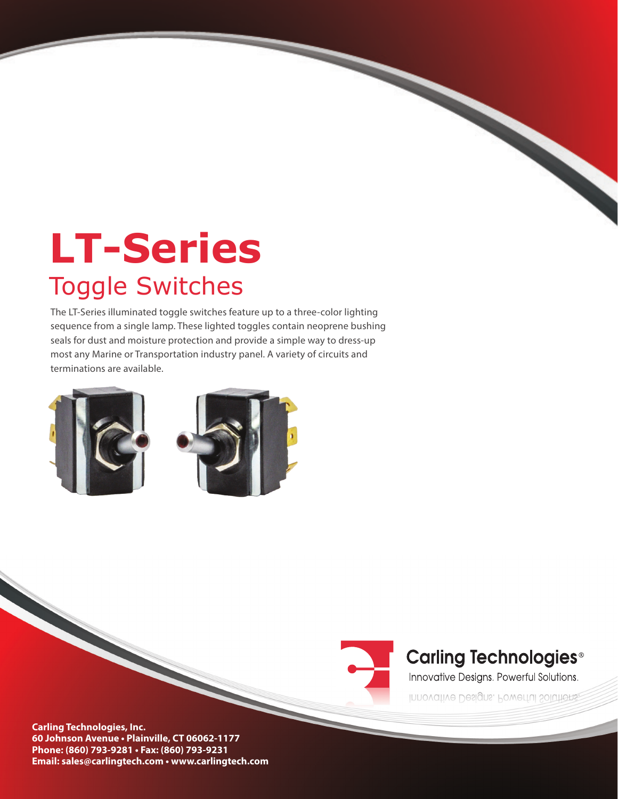# **LT-Series**  Toggle Switches

The LT-Series illuminated toggle switches feature up to a three-color lighting sequence from a single lamp. These lighted toggles contain neoprene bushing seals for dust and moisture protection and provide a simple way to dress-up most any Marine or Transportation industry panel. A variety of circuits and terminations are available.





## **Carling Technologies®**

Innovative Designs. Powerful Solutions.

Innovative Designs. Powerful Solutions.

**Carling Technologies, Inc. 60 Johnson Avenue • Plainville, CT 06062-1177 Phone: (860) 793-9281 • Fax: (860) 793-9231 Email: sales@carlingtech.com • www.carlingtech.com**